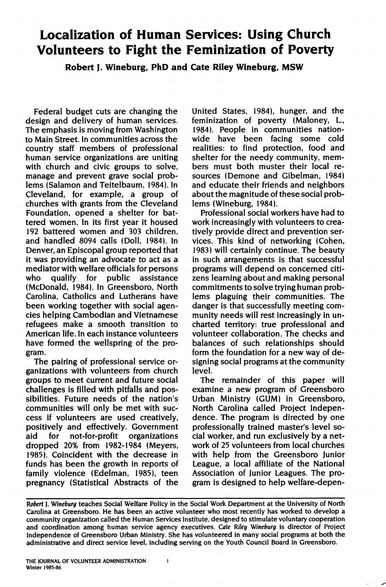# **Localization of Human Services: Using Church Volunteers to Fight the Feminization of Poverty**

**Robert J. Wineburg, PhD and Cate Riley Wineburg, MSW** 

Federal budget cuts are changing the design and delivery of human services. The emphasis is moving from Washington to Main Street. In communities across the country staff members of professional human service organizations are uniting with church and civic groups to solve, manage and prevent grave social problems (Salamon and Teitelbaum, 1984). In Cleveland, for example, a group of churches with grants from the Cleveland Foundation, opened a shelter for battered women. In its first year it housed 192 battered women and 303 children, and handled 8094 calls (Doll, 1984). In Denver, an Episcopal group reported that it was providing an advocate to act as a mediator with welfare officials for persons who qualify for public assistance (McDonald, 1984). In Greensboro, North Carolina, Catholics and Lutherans have been working together with social agencies helping Cambodian and Vietnamese refugees make a smooth transition to American life. In each instance volunteers have formed the wellspring of the program.

The pairing of professional service organizations with volunteers from church groups to meet current and future social challenges is filled with pitfalls and possibilities. Future needs of the nation's communities will only be met with success if volunteers are used creatively, positively and effectively. Government aid for not-for-profit organizations dropped 20% from 1982-1984 (Meyers, 1985). Coincident with the decrease in funds has been the growth in reports of family violence (Edelman, 1985), teen pregnancy (Statistical Abstracts of the

United States, 1984). hunger, and the feminization of poverty (Maloney, L., 1984). People in communities nationwide have been facing some cold realities: to find protection, food and shelter for the needy community, members must both muster their local resources (Demone and Gibelman, 1984) and educate their friends and neighbors about the magnitude of these social problems (Wineburg, 1984).

Professional social workers have had to work increasingly with volunteers to creatively provide direct and prevention services. This kind of networking (Cohen, 1983) will certainly continue. The beauty in such arrangements is that successful programs will depend on concerned citizens learning about and making personal commitments to solve trying human problems plaguing their communities. The danger is that successfully meeting community needs will rest increasingly in uncharted territory: true professional and volunteer collaboration. The checks and balances of such relationships should form the foundation for a new way of designing social programs at the community level.

The remainder of this paper will examine a new program of Greensboro Urban Ministry (GUM) in Greensboro, North Carolina called Project Independence. The program is directed by one professionally trained master's level social worker, and run exclusively by a network of 25 volunteers from local churches with help from the Greensboro Junior League, a local affiliate of the National Association of Junior Leagues. The program is designed to help welfare-depen-

 $\mathbf{1}$ 

*Robert* J. *Wineburg* teaches Social Welfare Policy in the Social Work Department at the University of North Carolina at Greensboro. He has been an active volunteer who most recently has worked to develop a community organization called the Human Services Institute, designed to stimulate voluntary cooperation and coordination among human service agency executives. Cate *Riley Wineburg* is director of Project Independence of Greensboro Urban Ministry. She has volunteered in many social programs at both the administrative and direct service level, including serving on the Youth Council Board in Greensboro.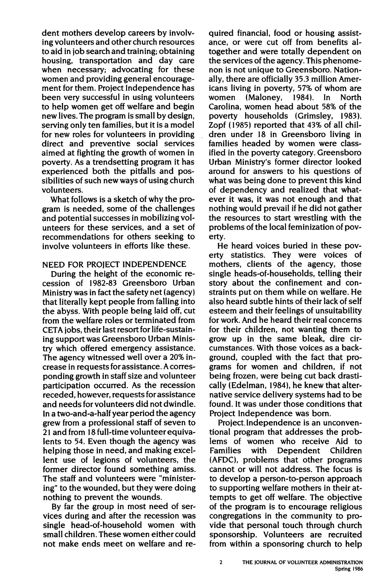dent mothers develop careers by involving volunteers and other church resources to aid in job search and training; obtaining housing, transportation and day care when necessary; advocating for these women and providing general encouragement for them. Project Independence has been very successful in using volunteers to help women get off welfare and begin new lives. The program is small by design, serving only ten families, but it is a model for new roles for volunteers in providing direct and preventive social services aimed at fighting the growth of women in poverty. As a trendsetting program it has experienced both the pitfalls and possibilities of such new ways of using church volunteers.

What follows is a sketch of why the program is needed, some of the challenges and potential successes in mobilizing volunteers for these services, and a set of recommendations for others seeking to involve volunteers in efforts like these.

## NEED FOR PROJECT INDEPENDENCE

During the height of the economic recession of I 982-83 Greensboro Urban Ministry was in fact the safety net (agency) that literally kept people from falling into the abyss. With people being laid off, cut from the welfare roles or terminated from CETA jobs, their last resort for life-sustaining support was Greensboro Urban Ministry which offered emergency assistance. The agency witnessed well over a 20% increase in requests for assistance. A corresponding growth in staff size and volunteer participation occurred. As the recession receded, however, requests for assistance and needs for volunteers did not dwindle. In a two-and-a-half year period the agency grew from a professional staff of seven to 21 and from 18 full-time volunteer equivalents to 54. Even though the agency was helping those in need, and making excellent use of legions of volunteers, the former director found something amiss. The staff and volunteers were "ministering" to the wounded, but they were doing nothing to prevent the wounds.

By far the group in most need of services during and after the recession was single head-of-household women with small children. These women either could not make ends meet on welfare and required financial, food or housing assistance, or were cut off from benefits altogether and were totally dependent on the services of the agency. This phenomenon is not unique to Greensboro. Nationally, there are officially 35.3 million Americans living in poverty, 57% of whom are women (Maloney, 1984). In North Carolina, women head about 58% of the poverty households (Grimsley, 1983). Zopf ( 1985) reported that 43% of all children under 18 in Greensboro living in families headed by women were classified in the poverty category. Greensboro Urban Ministry's former director looked around for answers to his questions of what was being done to prevent this kind of dependency and realized that whatever it was, it was not enough and that nothing would prevail if he did not gather the resources to start wrestling with the problems of the local feminization of poverty.

He heard voices buried in these poverty statistics. They were voices of mothers, clients of the agency, those single heads-of-households, telling their story about the confinement and constraints put on them while on welfare. He also heard subtle hints of their lack of self esteem and their feelings of unsuitability for work. And he heard their real concerns for their children, not wanting them to grow up in the same bleak, dire circumstances. With those voices as a background, coupled with the fact that programs for women and children, if not being frozen, were being cut back drastically (Edelman, 1984), he knew that alternative service delivery systems had to be found. It was under those conditions that Project Independence was born.

Project. Independence is an unconventional program that addresses the problems of women who receive Aid to Families with Dependent Children (AFDC), problems that other programs cannot or will not address. The focus is to develop a person-to-person approach to supporting welfare mothers in their attempts to get off welfare. The objective of the program is to encourage religious congregations in the community to provide that personal touch through church sponsorship. Volunteers are recruited from within a sponsoring church to help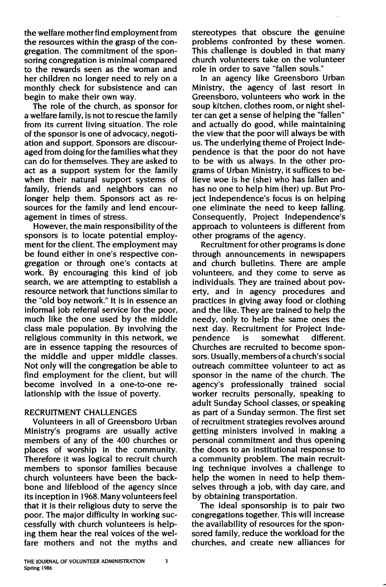the welfare mother find employment from the resources within the grasp of the congregation. The commitment of the sponsoring congregation is minimal compared to the rewards seen as the woman and her children no longer need to rely on a monthly check for subsistence and can begin to make their own way.

The role of the church, as sponsor for a welfare family, is not to rescue the family from its current living situation. The role of the sponsor is one of advocacy, negotiation and support. Sponsors are discouraged from doing for the families what they can do for themselves. They are asked to act as a support system for the family when their natural support systems of family, friends and neighbors can no longer help them. Sponsors act as resources for the family and lend encouragement in times of stress.

However, the main responsibility of the sponsors is to locate potential employment for the client. The employment may be found either in one's respective congregation or through one's contacts at work. By encouraging this kind of job search, we are attempting to establish a resource network that functions similar to the "old boy network." It is in essence an informal job referral service for the poor, much like the one used by the middle class male population. By involving the religious community in this network, we are in essence tapping the resources of the middle and upper middle classes. Not only will the congregation be able to find employment for the client, but will become involved in a one-to-one relationship with the issue of poverty.

## RECRUITMENT CHALLENGES

Volunteers in all of Greensboro Urban Ministry's programs are usually active members of any of the 400 churches or places of worship in the community. Therefore it was logical to recruit church members to sponsor families because church volunteers have been the backbone and lifeblood of the agency since its inception in 1968. Many volunteers feel that it is their religious duty to serve the poor. The major difficulty in working successfully with church volunteers is helping them hear the real voices of the welfare mothers and not the myths and stereotypes that obscure the genuine problems confronted by these women. This challenge is doubled in that many church volunteers take on the volunteer role in order to save "fallen souls."

In an agency like Greensboro Urban Ministry, the agency of last resort in Greensboro, volunteers who work in the soup kitchen, clothes room, or night shelter can get a sense of helping the "fallen" and actually do good, while maintaining the view that the poor will always be with us. The underlying theme of Project Independence is that the poor do not have to be with us always. In the other programs of Urban Ministry, it suffices to believe woe is he (she) who has fallen and has no one to help him (her) up. But Project Independence's focus is on helping one eliminate the need to keep falling. Consequently, Project Independence's approach to volunteers is different from other programs of the agency.

Recruitment for other programs is done through announcements in newspapers and church bulletins. There are ample volunteers, and they come to serve as individuals. They are trained about poverty, and in agency procedures and practices in giving away food or clothing and the like. They are trained to help the needy, only to help the same ones the next day. Recruitment for Project Independence is somewhat different. Churches are recruited to become sponsors. Usually, members of a church's social outreach committee volunteer to act as sponsor in the name of the church. The agency's professionally trained social worker recruits personally, speaking to adult Sunday School classes, or speaking as part of a Sunday sermon. The first set of recruitment strategies revolves around getting ministers involved in making a personal commitment and thus opening the doors to an institutional response to a community problem. The main recruiting technique involves a challenge to help the women in need to help themselves through a job, with day care, and by obtaining transportation.

The ideal sponsorship is to pair two congregations together. This will increase the availability of resources for the sponsored family, reduce the workload for the churches, and create new alliances for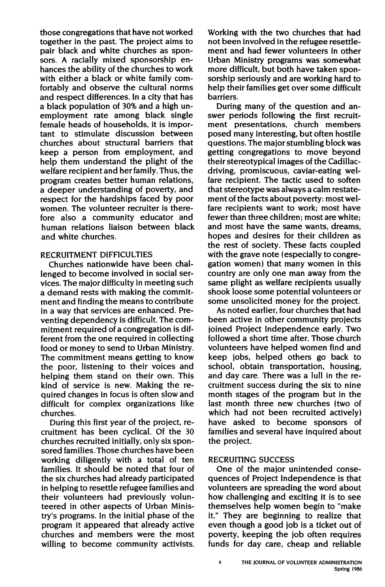those congregations that have not worked together in the past. The project aims to pair black and white churches as sponsors. A racially mixed sponsorship enhances the ability of the churches to work with either a black or white family comfortably and observe the cultural norms and respect differences. In a city that has a black population of 30% and a high unemployment rate among black single female heads of households, it is important to stimulate discussion between churches about structural barriers that keep a person from employment, and help them understand the plight of the welfare recipient and her family. Thus, the program creates better human relations, a deeper understanding of poverty, and respect for the hardships faced by poor women. The volunteer recruiter is therefore also a community educator and human relations liaison between black and white churches.

## RECRUITMENT DIFFICULTIES

Churches nationwide have been challenged to become involved in social services. The major difficulty in meeting such a demand rests with making the commitment and finding the means to contribute in a way that services are enhanced. Preventing dependency is difficult. The commitment required of a congregation is different from the one required in collecting food or money to send to Urban Ministry. The commitment means getting to know the poor, listening to their voices and helping them stand on their own. This kind of service is new. Making the required changes in focus is often slow and difficult for complex organizations like churches.

During this first year of the project, recruitment has been cyclical. Of the 30 churches recruited initially, only six sponsored families. Those churches have been working diligently with a total of ten families. It should be noted that four of the six churches had already participated in helping to resettle refugee families and their volunteers had previously volunteered in other aspects of Urban Ministry's programs. In the initial phase of the program it appeared that already active churches and members were the most willing to become community activists.

Working with the two churches that had not been involved in the refugee resettlement and had fewer volunteers in other Urban Ministry programs was somewhat more difficult, but bo'th have taken sponsorship seriously and are working hard to help their families get over some difficult barriers.·

During many of the question and answer periods following the first recruitment presentations, church members posed many interesting, but often hostile questions. The major stumbling block was getting congregations to move beyond their stereotypical images of the Cadillacdriving, promiscuous, caviar-eating welfare recipient. The tactic used to soften that stereotype was always a calm restatement of the facts about poverty: most welfare recipients want to work; most have fewer than three children; most are white; and most have the same wants, dreams, hopes and desires for their children as the rest of society. These facts coupled with the grave note (especially to congregation women) that many women in this country are only one man away from the same plight as welfare recipients usually shook loose some potential volunteers or some unsolicited money for the project.

As noted earlier, four churches that had been active in other community projects joined Project Independence early. Two followed a short time after. Those church volunteers have helped women find and keep jobs, helped others go back to school, obtain transportation, housing, and day care. There was a lull in the recruitment success during the six to nine month stages of the program but in the last month three new churches (two of which had not been recruited actively) have asked to become sponsors of families and several have inquired about the project.

### RECRUITING SUCCESS

One of the major unintended consequences of Project Independence is that volunteers are spreading the word about how challenging and exciting it is to see themselves help women begin to "make it." They are beginning to realize that even though a good job is a ticket out of poverty, keeping the job often requires funds for day care, cheap and reliable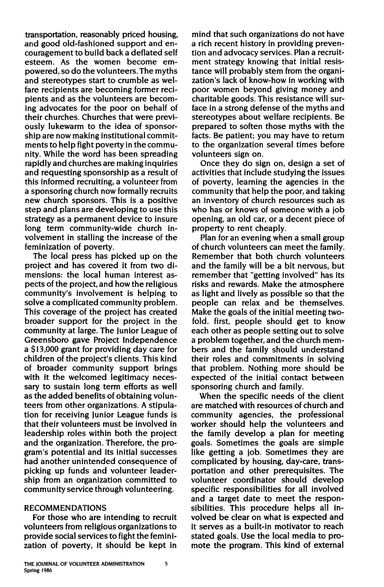transportation, reasonably priced housing, and good old-fashioned support and encouragement to build back a deflated self esteem. As the women become empowered, so do the volunteers. The myths and stereotypes start to crumble as welfare recipients are becoming former recipients and as the volunteers are becoming advocates for the poor on behalf of their churches. Churches that were previously lukewarm to the idea of sponsorship are now making institutional commitments to help fight poverty in the community. While the word has been spreading rapidly and churches are making inquiries and requesting sponsorship as a result of this informed recruiting, a volunteer from a sponsoring church now formally recruits new church sponsors. This is a positive step and plans are developing to use this strategy as a permanent device to insure long term community-wide church involvement in stalling the increase of the feminization of poverty.

The local press has picked up on the project and has covered it from two dimensions: the local human interest aspects of the project, and how the religious community's involvement is helping to solve a complicated community problem. This coverage of the project has created broader support for the project in the community at large. The Junior League of Greensboro gave Project Independence a \$13,000 grant for providing day care for children of the project's clients. This kind of broader community support brings with it the welcomed legitimacy necessary to sustain long term efforts as well as the added benefits of obtaining volunteers from other organizations. A stipulation for receiving Junior League funds is that their volunteers must be involved in leadership roles within both the project and the organization. Therefore, the program's potential and its initial successes had another unintended consequence of picking up funds and volunteer leadership from an organization committed to community service through volunteering.

#### **RECOMMENDATIONS**

For those who are intending to recruit volunteers from religious organizations to provide social services to fight the feminization of poverty, it should be kept in

mind that such organizations do not have a rich recent history in providing prevention and advocacy services. Plan a recruitment strategy knowing that initial resistance will probably stem from the organization's lack of know-how in working with poor women beyond giving money and charitable goods. This resistance will surface in a strong defense of the myths and stereotypes about welfare recipients. Be prepared to soften those myths with the facts. Be patient; you may have to return to the organization several times before volunteers sign on.

Once they do sign on, design a set of activities that include studying the issues of poverty, learning the agencies in the community that help the poor, and taking an inventory of church resources such as who has or knows of someone with a job opening, an old car, or a decent piece of property to rent cheaply.

Plan for an evening when a small group of church volunteers can meet the family. Remember that both church volunteers and the family will be a bit nervous, but remember that "getting involved" has its risks and rewards. Make the atmosphere as light and lively as possible so that the people can relax and be themselves. Make the goals of the initial meeting twofold. first, people should get to know each other as people setting out to solve a problem together, and the church members and the family should understand their roles and commitments in solving that problem. Nothing more should be expected of the initial contact between sponsoring church and family.

When the specific needs of the client are matched with resources of church and community agencies, the professional worker should help the volunteers and the family develop a plan for meeting goals. Sometimes the goals are simple like getting a job. Sometimes they are complicated by housing, day-care, transportation and other prerequisites. The volunteer coordinator should develop specific responsibilities for all involved and a target date to meet the responsibilities. This procedure helps all involved be clear on what is expected and it serves as a built-in motivator to reach stated goals. Use the local media to promote the program. This kind of external